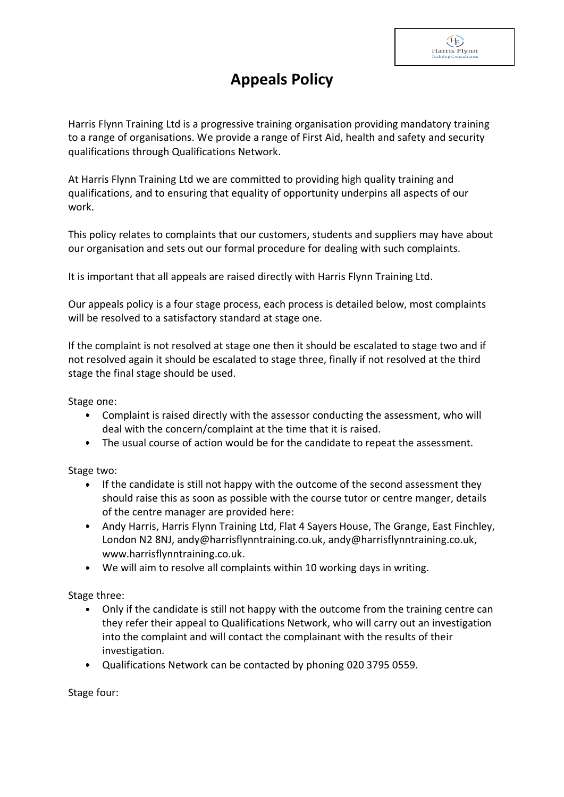## **Appeals Policy**

 $(F)$ Harris Flynn

Harris Flynn Training Ltd is a progressive training organisation providing mandatory training to a range of organisations. We provide a range of First Aid, health and safety and security qualifications through Qualifications Network.

At Harris Flynn Training Ltd we are committed to providing high quality training and qualifications, and to ensuring that equality of opportunity underpins all aspects of our work.

This policy relates to complaints that our customers, students and suppliers may have about our organisation and sets out our formal procedure for dealing with such complaints.

It is important that all appeals are raised directly with Harris Flynn Training Ltd.

Our appeals policy is a four stage process, each process is detailed below, most complaints will be resolved to a satisfactory standard at stage one.

If the complaint is not resolved at stage one then it should be escalated to stage two and if not resolved again it should be escalated to stage three, finally if not resolved at the third stage the final stage should be used.

Stage one:

- Complaint is raised directly with the assessor conducting the assessment, who will deal with the concern/complaint at the time that it is raised.
- The usual course of action would be for the candidate to repeat the assessment.  $\bullet$

Stage two:

- $\bullet$ If the candidate is still not happy with the outcome of the second assessment they should raise this as soon as possible with the course tutor or centre manger, details of the centre manager are provided here:
- Andy Harris, Harris Flynn Training Ltd, Flat 4 Sayers House, The Grange, East Finchley, London N2 8NJ, andy@harrisflynntraining.co.uk, andy@harrisflynntraining.co.uk, www.harrisflynntraining.co.uk.
- We will aim to resolve all complaints within 10 working days in writing.

Stage three:

- Only if the candidate is still not happy with the outcome from the training centre can  $\bullet$ they refer their appeal to Qualifications Network, who will carry out an investigation into the complaint and will contact the complainant with the results of their investigation.
- Qualifications Network can be contacted by phoning 020 3795 0559.

Stage four: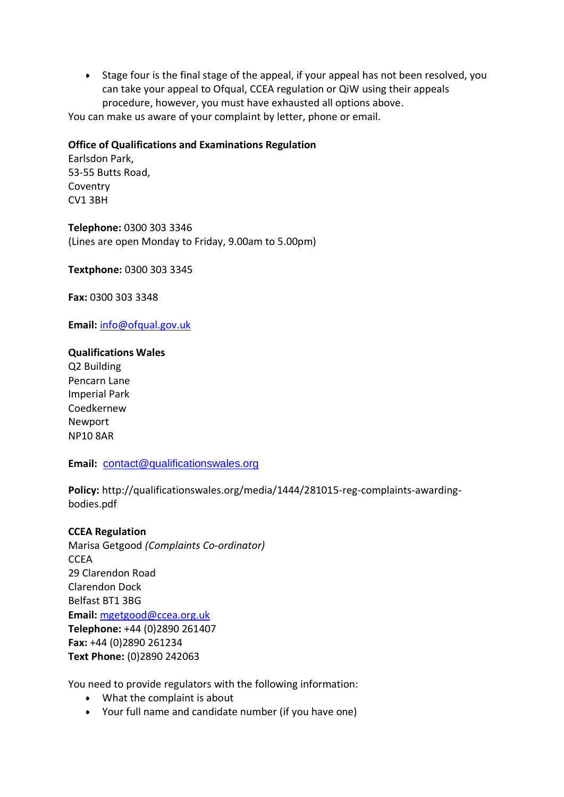Stage four is the final stage of the appeal, if your appeal has not been resolved, you can take your appeal to Ofqual, CCEA regulation or QiW using their appeals procedure, however, you must have exhausted all options above.

You can make us aware of your complaint by letter, phone or email.

## **Office of Qualifications and Examinations Regulation**

Earlsdon Park, 53-55 Butts Road, Coventry CV1 3BH

**Telephone:** 0300 303 3346 (Lines are open Monday to Friday, 9.00am to 5.00pm)

**Textphone:** 0300 303 3345

**Fax:** 0300 303 3348

**Email:** [info@ofqual.gov.uk](mailto:info@ofqual.gov.uk)

## **Qualifications Wales**

Q2 Building Pencarn Lane Imperial Park Coedkernew Newport NP10 8AR

Email: [contact@qualificationswales.org](mailto:contact@qualificationswales.org)

**Policy:** http://qualificationswales.org/media/1444/281015-reg-complaints-awardingbodies.pdf

## **CCEA Regulation**

Marisa Getgood *(Complaints Co-ordinator)* **CCEA** 29 Clarendon Road Clarendon Dock Belfast BT1 3BG **Email:** [mgetgood@ccea.org.uk](mailto:mgetgood@ccea.org.uk?subject=Complaint%20Notification) **Telephone:** +44 (0)2890 261407 **Fax:** +44 (0)2890 261234 **Text Phone:** (0)2890 242063

You need to provide regulators with the following information:

- What the complaint is about
- Your full name and candidate number (if you have one)